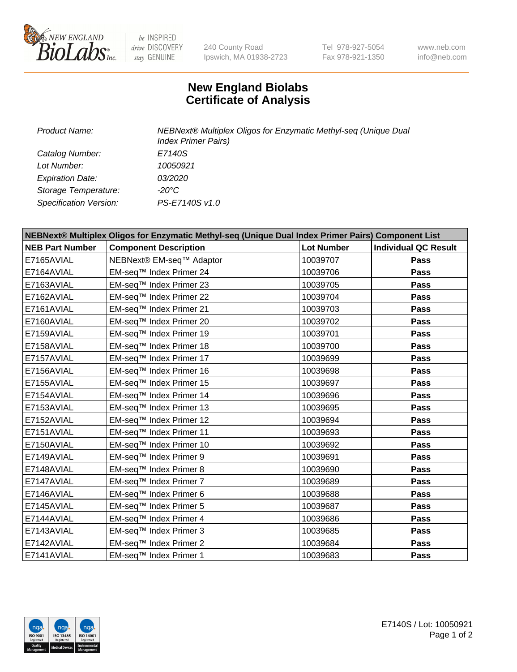

be INSPIRED drive DISCOVERY stay GENUINE

240 County Road Ipswich, MA 01938-2723 Tel 978-927-5054 Fax 978-921-1350 www.neb.com info@neb.com

## **New England Biolabs Certificate of Analysis**

| Product Name:           | NEBNext® Multiplex Oligos for Enzymatic Methyl-seq (Unique Dual<br><b>Index Primer Pairs)</b> |
|-------------------------|-----------------------------------------------------------------------------------------------|
| Catalog Number:         | E7140S                                                                                        |
| Lot Number:             | 10050921                                                                                      |
| <b>Expiration Date:</b> | <i>03/2020</i>                                                                                |
| Storage Temperature:    | -20°C                                                                                         |
| Specification Version:  | PS-E7140S v1.0                                                                                |

| NEBNext® Multiplex Oligos for Enzymatic Methyl-seq (Unique Dual Index Primer Pairs) Component List |                              |                   |                             |  |
|----------------------------------------------------------------------------------------------------|------------------------------|-------------------|-----------------------------|--|
| <b>NEB Part Number</b>                                                                             | <b>Component Description</b> | <b>Lot Number</b> | <b>Individual QC Result</b> |  |
| E7165AVIAL                                                                                         | NEBNext® EM-seq™ Adaptor     | 10039707          | Pass                        |  |
| E7164AVIAL                                                                                         | EM-seq™ Index Primer 24      | 10039706          | <b>Pass</b>                 |  |
| E7163AVIAL                                                                                         | EM-seq™ Index Primer 23      | 10039705          | Pass                        |  |
| E7162AVIAL                                                                                         | EM-seq™ Index Primer 22      | 10039704          | <b>Pass</b>                 |  |
| E7161AVIAL                                                                                         | EM-seq™ Index Primer 21      | 10039703          | Pass                        |  |
| E7160AVIAL                                                                                         | EM-seq™ Index Primer 20      | 10039702          | <b>Pass</b>                 |  |
| E7159AVIAL                                                                                         | EM-seq™ Index Primer 19      | 10039701          | <b>Pass</b>                 |  |
| E7158AVIAL                                                                                         | EM-seq™ Index Primer 18      | 10039700          | <b>Pass</b>                 |  |
| E7157AVIAL                                                                                         | EM-seq™ Index Primer 17      | 10039699          | Pass                        |  |
| E7156AVIAL                                                                                         | EM-seq™ Index Primer 16      | 10039698          | <b>Pass</b>                 |  |
| E7155AVIAL                                                                                         | EM-seq™ Index Primer 15      | 10039697          | <b>Pass</b>                 |  |
| E7154AVIAL                                                                                         | EM-seq™ Index Primer 14      | 10039696          | <b>Pass</b>                 |  |
| E7153AVIAL                                                                                         | EM-seq™ Index Primer 13      | 10039695          | Pass                        |  |
| E7152AVIAL                                                                                         | EM-seq™ Index Primer 12      | 10039694          | <b>Pass</b>                 |  |
| E7151AVIAL                                                                                         | EM-seq™ Index Primer 11      | 10039693          | <b>Pass</b>                 |  |
| E7150AVIAL                                                                                         | EM-seq™ Index Primer 10      | 10039692          | <b>Pass</b>                 |  |
| E7149AVIAL                                                                                         | EM-seq™ Index Primer 9       | 10039691          | <b>Pass</b>                 |  |
| E7148AVIAL                                                                                         | EM-seq™ Index Primer 8       | 10039690          | <b>Pass</b>                 |  |
| E7147AVIAL                                                                                         | EM-seq™ Index Primer 7       | 10039689          | <b>Pass</b>                 |  |
| E7146AVIAL                                                                                         | EM-seq™ Index Primer 6       | 10039688          | <b>Pass</b>                 |  |
| E7145AVIAL                                                                                         | EM-seq™ Index Primer 5       | 10039687          | <b>Pass</b>                 |  |
| E7144AVIAL                                                                                         | EM-seq™ Index Primer 4       | 10039686          | <b>Pass</b>                 |  |
| E7143AVIAL                                                                                         | EM-seq™ Index Primer 3       | 10039685          | Pass                        |  |
| E7142AVIAL                                                                                         | EM-seq™ Index Primer 2       | 10039684          | <b>Pass</b>                 |  |
| E7141AVIAL                                                                                         | EM-seq™ Index Primer 1       | 10039683          | Pass                        |  |